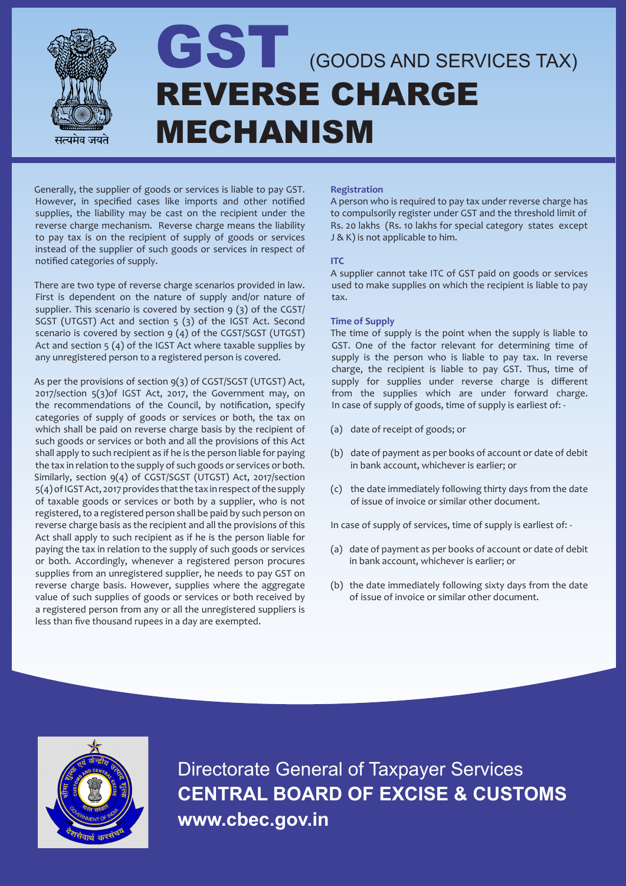

# GST (GOODS AND SERVICES TAX) REVERSE CHARGE MECHANISM

Generally, the supplier of goods or services is liable to pay GST. However, in specified cases like imports and other notified supplies, the liability may be cast on the recipient under the reverse charge mechanism. Reverse charge means the liability to pay tax is on the recipient of supply of goods or services instead of the supplier of such goods or services in respect of notified categories of supply.

There are two type of reverse charge scenarios provided in law. First is dependent on the nature of supply and/or nature of supplier. This scenario is covered by section  $9(3)$  of the CGST/ SGST (UTGST) Act and section 5 (3) of the IGST Act. Second scenario is covered by section 9 (4) of the CGST/SGST (UTGST) Act and section 5 (4) of the IGST Act where taxable supplies by any unregistered person to a registered person is covered.

As per the provisions of section 9(3) of CGST/SGST (UTGST) Act, 2017/section 5(3)of IGST Act, 2017, the Government may, on the recommendations of the Council, by notification, specify categories of supply of goods or services or both, the tax on which shall be paid on reverse charge basis by the recipient of such goods or services or both and all the provisions of this Act shall apply to such recipient as if he is the person liable for paying the tax in relation to the supply of such goods or services or both. Similarly, section 9(4) of CGST/SGST (UTGST) Act, 2017/section 5(4) of IGST Act, 2017 provides that the tax in respect of the supply of taxable goods or services or both by a supplier, who is not registered, to a registered person shall be paid by such person on reverse charge basis as the recipient and all the provisions of this Act shall apply to such recipient as if he is the person liable for paying the tax in relation to the supply of such goods or services or both. Accordingly, whenever a registered person procures supplies from an unregistered supplier, he needs to pay GST on reverse charge basis. However, supplies where the aggregate value of such supplies of goods or services or both received by a registered person from any or all the unregistered suppliers is less than five thousand rupees in a day are exempted.

### **Registration**

A person who is required to pay tax under reverse charge has to compulsorily register under GST and the threshold limit of Rs. 20 lakhs (Rs. 10 lakhs for special category states except J & K) is not applicable to him.

#### **ITC**

A supplier cannot take ITC of GST paid on goods or services used to make supplies on which the recipient is liable to pay tax.

#### **Time of Supply**

The time of supply is the point when the supply is liable to GST. One of the factor relevant for determining time of supply is the person who is liable to pay tax. In reverse charge, the recipient is liable to pay GST. Thus, time of supply for supplies under reverse charge is different from the supplies which are under forward charge. In case of supply of goods, time of supply is earliest of: -

- (a) date of receipt of goods; or
- (b) date of payment as per books of account or date of debit in bank account, whichever is earlier; or
- (c) the date immediately following thirty days from the date of issue of invoice or similar other document.

In case of supply of services, time of supply is earliest of: -

- (a) date of payment as per books of account or date of debit in bank account, whichever is earlier; or
- (b) the date immediately following sixty days from the date of issue of invoice or similar other document.



Directorate General of Taxpayer Services **CENTRAL BOARD OF EXCISE & CUSTOMS www.cbec.gov.in**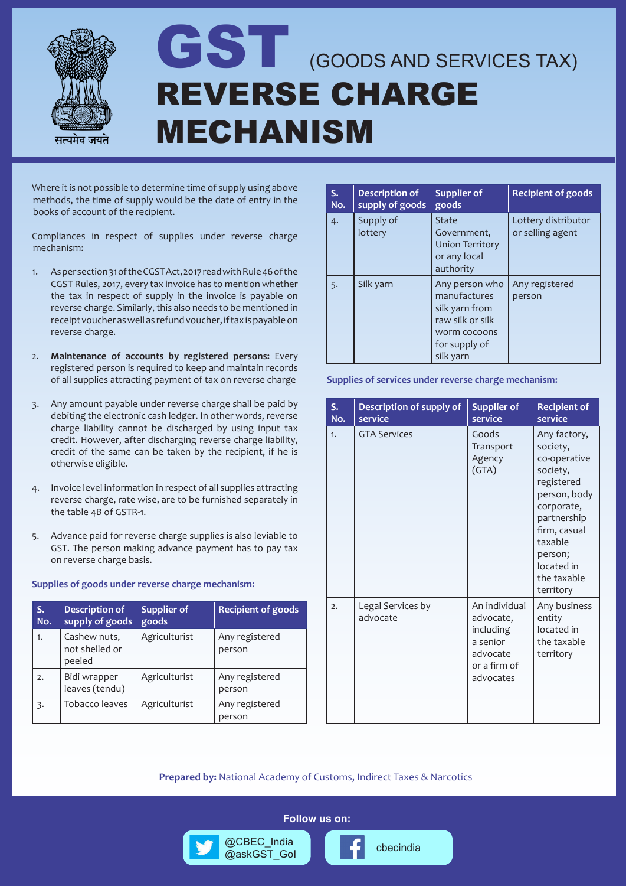

### GST (GOODS AND SERVICES TAX) REVERSE CHARGE MECHANISM

Where it is not possible to determine time of supply using above methods, the time of supply would be the date of entry in the books of account of the recipient.

Compliances in respect of supplies under reverse charge mechanism:

- 1. As per section 31 of the CGST Act, 2017 read with Rule 46 of the CGST Rules, 2017, every tax invoice has to mention whether the tax in respect of supply in the invoice is payable on reverse charge. Similarly, this also needs to be mentioned in receipt voucher as well as refund voucher, if tax is payable on reverse charge.
- 2. **Maintenance of accounts by registered persons:** Every registered person is required to keep and maintain records of all supplies attracting payment of tax on reverse charge
- 3. Any amount payable under reverse charge shall be paid by debiting the electronic cash ledger. In other words, reverse charge liability cannot be discharged by using input tax credit. However, after discharging reverse charge liability, credit of the same can be taken by the recipient, if he is otherwise eligible.
- 4. Invoice level information in respect of all supplies attracting reverse charge, rate wise, are to be furnished separately in the table 4B of GSTR-1.
- 5. Advance paid for reverse charge supplies is also leviable to GST. The person making advance payment has to pay tax on reverse charge basis.

#### **Supplies of goods under reverse charge mechanism:**

| S.<br>No. | <b>Description of</b><br>supply of goods | <b>Supplier of</b><br>goods | <b>Recipient of goods</b> |
|-----------|------------------------------------------|-----------------------------|---------------------------|
| 1.        | Cashew nuts,<br>not shelled or<br>peeled | Agriculturist               | Any registered<br>person  |
| 2.        | Bidi wrapper<br>leaves (tendu)           | Agriculturist               | Any registered<br>person  |
| 3.        | Tobacco leaves                           | Agriculturist               | Any registered<br>person  |

| $S_{\star}$<br>No. | <b>Description of</b><br>supply of goods | <b>Supplier of</b><br>goods                                                                                        | <b>Recipient of goods</b>               |  |  |
|--------------------|------------------------------------------|--------------------------------------------------------------------------------------------------------------------|-----------------------------------------|--|--|
| 4.                 | Supply of<br>lottery                     | <b>State</b><br>Government,<br><b>Union Territory</b><br>or any local<br>authority                                 | Lottery distributor<br>or selling agent |  |  |
| 5.                 | Silk yarn                                | Any person who<br>manufactures<br>silk yarn from<br>raw silk or silk<br>worm cocoons<br>for supply of<br>silk yarn | Any registered<br>person                |  |  |

**Supplies of services under reverse charge mechanism:**

| S.<br>No.        | Description of supply of<br>service | <b>Supplier of</b><br>service                                                                | <b>Recipient of</b><br>service                                                                                                                                                                  |
|------------------|-------------------------------------|----------------------------------------------------------------------------------------------|-------------------------------------------------------------------------------------------------------------------------------------------------------------------------------------------------|
| 1.               | <b>GTA Services</b>                 | Goods<br>Transport<br>Agency<br>(GTA)                                                        | Any factory,<br>society,<br>co-operative<br>society,<br>registered<br>person, body<br>corporate,<br>partnership<br>firm, casual<br>taxable<br>person;<br>located in<br>the taxable<br>territory |
| $\overline{2}$ . | Legal Services by<br>advocate       | An individual<br>advocate,<br>including<br>a senior<br>advocate<br>or a firm of<br>advocates | Any business<br>entity<br>located in<br>the taxable<br>territory                                                                                                                                |

**Prepared by:** National Academy of Customs, Indirect Taxes & Narcotics

**Follow us on:**

@cbec\_india<br>@askGST\_Gol **computer** cbecindia

@CBEC\_India